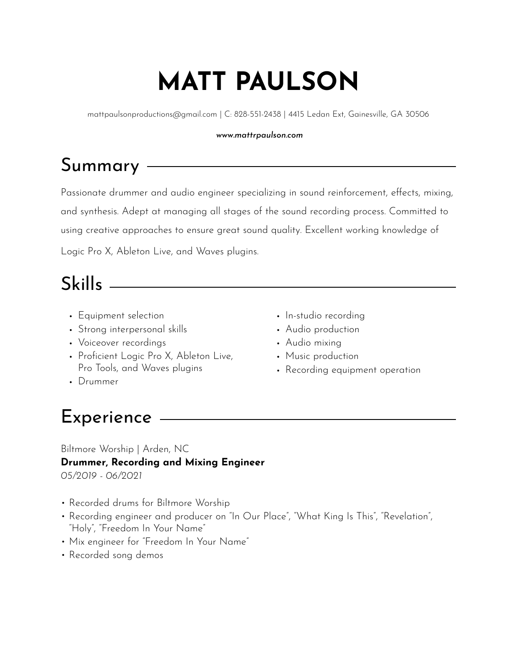# **MATT PAULSON**

mattpaulsonproductions@gmail.com | C: 828-551-2438 | 4415 Ledan Ext, Gainesville, GA 30506

#### *www.mattrpaulson.com*

# Summary

Passionate drummer and audio engineer specializing in sound reinforcement, effects, mixing, and synthesis. Adept at managing all stages of the sound recording process. Committed to using creative approaches to ensure great sound quality. Excellent working knowledge of

Logic Pro X, Ableton Live, and Waves plugins.

### Skills

- Equipment selection
- Strong interpersonal skills
- Voiceover recordings
- Proficient Logic Pro X, Ableton Live, Pro Tools, and Waves plugins
- In-studio recording
- Audio production
- Audio mixing
- Music production
- Recording equipment operation

• Drummer

# Experience

Biltmore Worship | Arden, NC **Drummer, Recording and Mixing Engineer**  *05/2019 - 06/2021* 

- Recorded drums for Biltmore Worship
- Recording engineer and producer on "In Our Place", "What King Is This", "Revelation", "Holy", "Freedom In Your Name"
- Mix engineer for "Freedom In Your Name"
- Recorded song demos